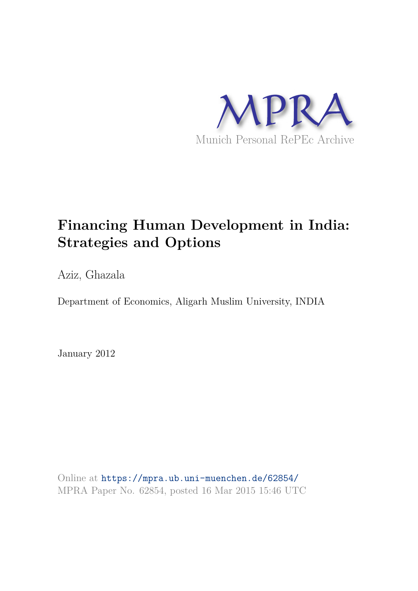

## **Financing Human Development in India: Strategies and Options**

Aziz, Ghazala

Department of Economics, Aligarh Muslim University, INDIA

January 2012

Online at https://mpra.ub.uni-muenchen.de/62854/ MPRA Paper No. 62854, posted 16 Mar 2015 15:46 UTC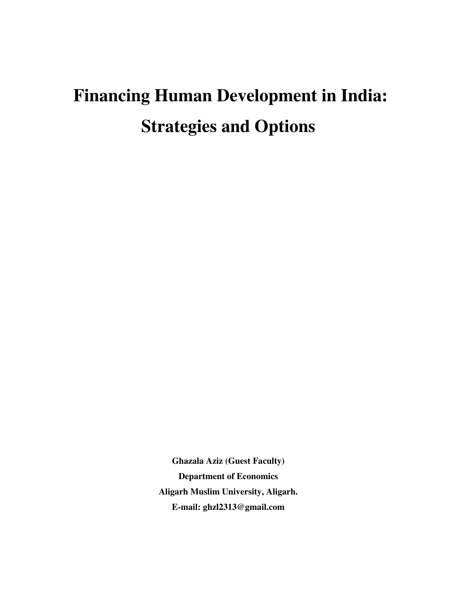# **Financing Human Development in India: Strategies and Options**

**Ghazala Aziz (Guest Faculty) Department of Economics Aligarh Muslim University, Aligarh. E-mail: ghzl2313@gmail.com**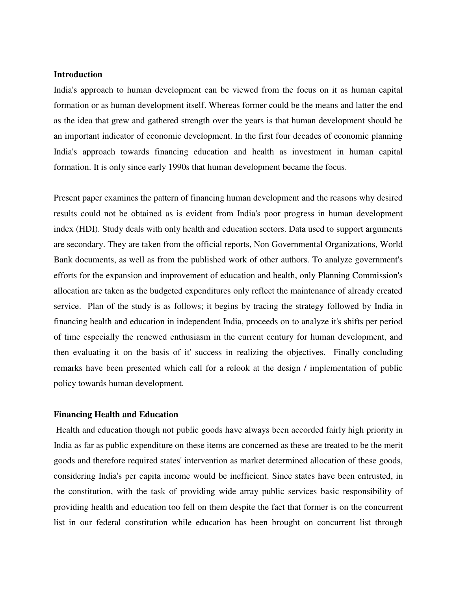#### **Introduction**

India's approach to human development can be viewed from the focus on it as human capital formation or as human development itself. Whereas former could be the means and latter the end as the idea that grew and gathered strength over the years is that human development should be an important indicator of economic development. In the first four decades of economic planning India's approach towards financing education and health as investment in human capital formation. It is only since early 1990s that human development became the focus.

Present paper examines the pattern of financing human development and the reasons why desired results could not be obtained as is evident from India's poor progress in human development index (HDI). Study deals with only health and education sectors. Data used to support arguments are secondary. They are taken from the official reports, Non Governmental Organizations, World Bank documents, as well as from the published work of other authors. To analyze government's efforts for the expansion and improvement of education and health, only Planning Commission's allocation are taken as the budgeted expenditures only reflect the maintenance of already created service. Plan of the study is as follows; it begins by tracing the strategy followed by India in financing health and education in independent India, proceeds on to analyze it's shifts per period of time especially the renewed enthusiasm in the current century for human development, and then evaluating it on the basis of it' success in realizing the objectives. Finally concluding remarks have been presented which call for a relook at the design / implementation of public policy towards human development.

#### **Financing Health and Education**

 Health and education though not public goods have always been accorded fairly high priority in India as far as public expenditure on these items are concerned as these are treated to be the merit goods and therefore required states' intervention as market determined allocation of these goods, considering India's per capita income would be inefficient. Since states have been entrusted, in the constitution, with the task of providing wide array public services basic responsibility of providing health and education too fell on them despite the fact that former is on the concurrent list in our federal constitution while education has been brought on concurrent list through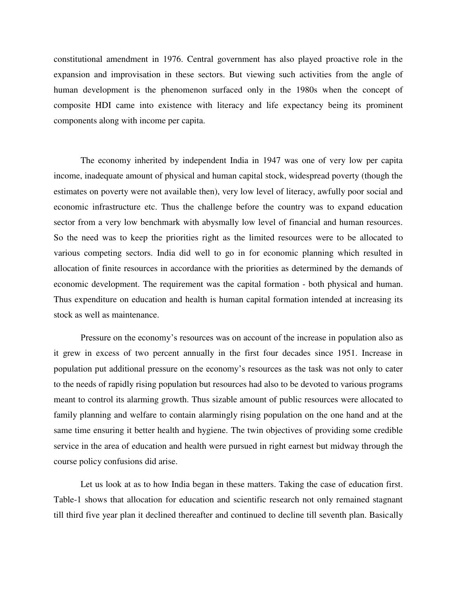constitutional amendment in 1976. Central government has also played proactive role in the expansion and improvisation in these sectors. But viewing such activities from the angle of human development is the phenomenon surfaced only in the 1980s when the concept of composite HDI came into existence with literacy and life expectancy being its prominent components along with income per capita.

The economy inherited by independent India in 1947 was one of very low per capita income, inadequate amount of physical and human capital stock, widespread poverty (though the estimates on poverty were not available then), very low level of literacy, awfully poor social and economic infrastructure etc. Thus the challenge before the country was to expand education sector from a very low benchmark with abysmally low level of financial and human resources. So the need was to keep the priorities right as the limited resources were to be allocated to various competing sectors. India did well to go in for economic planning which resulted in allocation of finite resources in accordance with the priorities as determined by the demands of economic development. The requirement was the capital formation - both physical and human. Thus expenditure on education and health is human capital formation intended at increasing its stock as well as maintenance.

Pressure on the economy's resources was on account of the increase in population also as it grew in excess of two percent annually in the first four decades since 1951. Increase in population put additional pressure on the economy's resources as the task was not only to cater to the needs of rapidly rising population but resources had also to be devoted to various programs meant to control its alarming growth. Thus sizable amount of public resources were allocated to family planning and welfare to contain alarmingly rising population on the one hand and at the same time ensuring it better health and hygiene. The twin objectives of providing some credible service in the area of education and health were pursued in right earnest but midway through the course policy confusions did arise.

Let us look at as to how India began in these matters. Taking the case of education first. Table-1 shows that allocation for education and scientific research not only remained stagnant till third five year plan it declined thereafter and continued to decline till seventh plan. Basically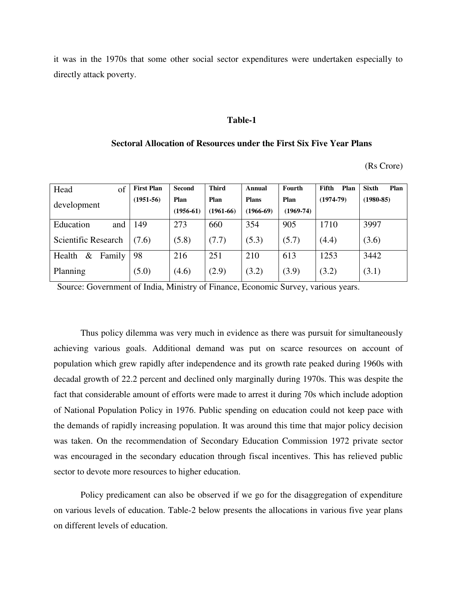it was in the 1970s that some other social sector expenditures were undertaken especially to directly attack poverty.

#### **Table-1**

#### **Sectoral Allocation of Resources under the First Six Five Year Plans**

(Rs Crore)

| Head<br>of               | <b>First Plan</b> | Second      | <b>Third</b> | Annual       | Fourth              | Fifth<br>Plan | <b>Sixth</b><br>Plan |  |
|--------------------------|-------------------|-------------|--------------|--------------|---------------------|---------------|----------------------|--|
| development              | $(1951-56)$       | Plan        | Plan         | <b>Plans</b> | $(1974-79)$<br>Plan |               | $(1980 - 85)$        |  |
|                          |                   | $(1956-61)$ | $(1961-66)$  | $(1966-69)$  | $(1969 - 74)$       |               |                      |  |
| Education<br>and         | 149               | 273         | 660          | 354          | 905                 | 1710          | 3997                 |  |
| Scientific Research      | (7.6)             | (5.8)       | (7.7)        | (5.3)        | (5.7)               | (4.4)         | (3.6)                |  |
| $\&$<br>Family<br>Health | 98                | 216         | 251          | 210          | 613                 | 1253          | 3442                 |  |
| Planning                 | (5.0)             | (4.6)       | (2.9)        | (3.2)        | (3.9)               | (3.2)         | (3.1)                |  |

Source: Government of India, Ministry of Finance, Economic Survey, various years.

Thus policy dilemma was very much in evidence as there was pursuit for simultaneously achieving various goals. Additional demand was put on scarce resources on account of population which grew rapidly after independence and its growth rate peaked during 1960s with decadal growth of 22.2 percent and declined only marginally during 1970s. This was despite the fact that considerable amount of efforts were made to arrest it during 70s which include adoption of National Population Policy in 1976. Public spending on education could not keep pace with the demands of rapidly increasing population. It was around this time that major policy decision was taken. On the recommendation of Secondary Education Commission 1972 private sector was encouraged in the secondary education through fiscal incentives. This has relieved public sector to devote more resources to higher education.

Policy predicament can also be observed if we go for the disaggregation of expenditure on various levels of education. Table-2 below presents the allocations in various five year plans on different levels of education.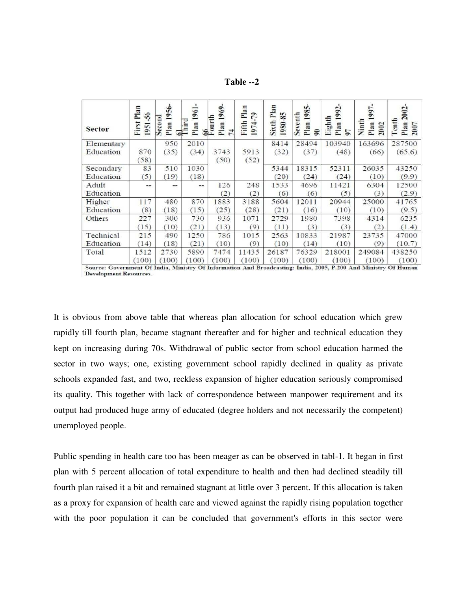**Table --2** 

| <b>Sector</b> | Plan<br>$\tilde{56}$<br>First<br>1951 | 1956<br>Second<br>Plan | 1961<br>$\frac{61}{3}$<br>Plan | 1969<br>Ē<br>Plan<br>$\frac{66}{1001}$<br>74 | Plan<br>$\mathfrak{g}$<br>Fifth<br>1974 | Sixth Plan<br>1980-85 | 1985<br>Seventh<br>Plan<br>$\Xi$ | 1992<br>Eighth<br>Plan<br>5 <sup>7</sup> | 997<br>Ninth<br>Plan<br>2002 | 2002<br>Tenth<br>Plan<br>2007 |
|---------------|---------------------------------------|------------------------|--------------------------------|----------------------------------------------|-----------------------------------------|-----------------------|----------------------------------|------------------------------------------|------------------------------|-------------------------------|
| Elementary    |                                       | 950                    | 2010                           |                                              |                                         | 8414                  | 28494                            | 103940                                   | 163696                       | 287500                        |
| Education     | 870<br>(58)                           | (35)                   | (34)                           | 3743<br>(50)                                 | 5913<br>(52)                            | (32)                  | (37)                             | (48)                                     | (66)                         | (65.6)                        |
| Secondary     | 83                                    | 510                    | 1030                           |                                              |                                         | 5344                  | 18315                            | 52311                                    | 26035                        | 43250                         |
| Education     | (5)                                   | (19)                   | (18)                           |                                              |                                         | (20)                  | (24)                             | (24)                                     | (10)                         | (9.9)                         |
| Adult         | --                                    | $\cdots$               | --                             | 126                                          | 248                                     | 1533                  | 4696                             | 11421                                    | 6304                         | 12500                         |
| Education     |                                       |                        |                                | (2)                                          | (2)                                     | (6)                   | (6)                              | (5)                                      | (3)                          | (2.9)                         |
| Higher        | 117                                   | 480                    | 870                            | 1883                                         | 3188                                    | 5604                  | 12011                            | 20944                                    | 25000                        | 41765                         |
| Education     | (8)                                   | (18)                   | (15)                           | (25)                                         | (28)                                    | (21)                  | (16)                             | (10)                                     | (10)                         | (9.5)                         |
| Others        | 227                                   | 300                    | 730                            | 936                                          | 1071                                    | 2729                  | 1980                             | 7398                                     | 4314                         | 6235                          |
|               | (15)                                  | (10)                   | (21)                           | (13)                                         | (9)                                     | (11)                  | (3)                              | (3)                                      | (2)                          | (1.4)                         |
| Technical     | 215                                   | 490                    | 1250                           | 786                                          | 1015                                    | 2563                  | 10833                            | 21987                                    | 23735                        | 47000                         |
| Education     | (14)                                  | (18)                   | (21)                           | (10)                                         | (9)                                     | (10)                  | (14)                             | (10)                                     | (9)                          | (10.7)                        |
| Total         | 1512                                  | 2730                   | 5890                           | 7474                                         | 11435                                   | 26187                 | 76329                            | 218001                                   | 249084                       | 438250                        |
|               | (100)                                 | (100)                  | (100)                          | (100)                                        | (100)                                   | (100)                 | (100)                            | (100)                                    | (100)                        | (100)                         |

Source: Government Of India, Ministry Of Information And Broadcasting: India, 2005, P.200 And Ministry Of Human **Development Resources.** 

It is obvious from above table that whereas plan allocation for school education which grew rapidly till fourth plan, became stagnant thereafter and for higher and technical education they kept on increasing during 70s. Withdrawal of public sector from school education harmed the sector in two ways; one, existing government school rapidly declined in quality as private schools expanded fast, and two, reckless expansion of higher education seriously compromised its quality. This together with lack of correspondence between manpower requirement and its output had produced huge army of educated (degree holders and not necessarily the competent) unemployed people.

Public spending in health care too has been meager as can be observed in tabl-1. It began in first plan with 5 percent allocation of total expenditure to health and then had declined steadily till fourth plan raised it a bit and remained stagnant at little over 3 percent. If this allocation is taken as a proxy for expansion of health care and viewed against the rapidly rising population together with the poor population it can be concluded that government's efforts in this sector were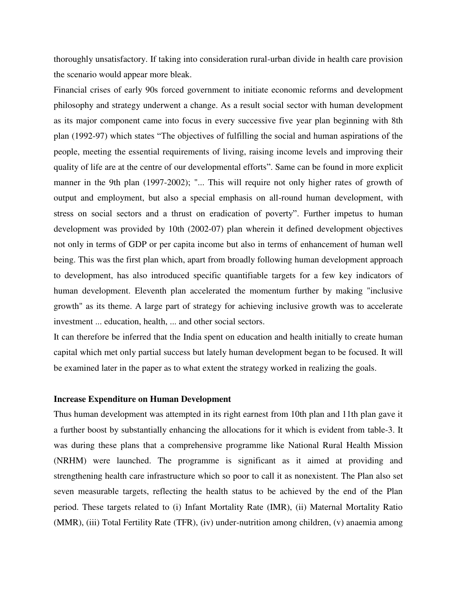thoroughly unsatisfactory. If taking into consideration rural-urban divide in health care provision the scenario would appear more bleak.

Financial crises of early 90s forced government to initiate economic reforms and development philosophy and strategy underwent a change. As a result social sector with human development as its major component came into focus in every successive five year plan beginning with 8th plan (1992-97) which states "The objectives of fulfilling the social and human aspirations of the people, meeting the essential requirements of living, raising income levels and improving their quality of life are at the centre of our developmental efforts". Same can be found in more explicit manner in the 9th plan (1997-2002); "... This will require not only higher rates of growth of output and employment, but also a special emphasis on all-round human development, with stress on social sectors and a thrust on eradication of poverty". Further impetus to human development was provided by 10th (2002-07) plan wherein it defined development objectives not only in terms of GDP or per capita income but also in terms of enhancement of human well being. This was the first plan which, apart from broadly following human development approach to development, has also introduced specific quantifiable targets for a few key indicators of human development. Eleventh plan accelerated the momentum further by making "inclusive growth" as its theme. A large part of strategy for achieving inclusive growth was to accelerate investment ... education, health, ... and other social sectors.

It can therefore be inferred that the India spent on education and health initially to create human capital which met only partial success but lately human development began to be focused. It will be examined later in the paper as to what extent the strategy worked in realizing the goals.

#### **Increase Expenditure on Human Development**

Thus human development was attempted in its right earnest from 10th plan and 11th plan gave it a further boost by substantially enhancing the allocations for it which is evident from table-3. It was during these plans that a comprehensive programme like National Rural Health Mission (NRHM) were launched. The programme is significant as it aimed at providing and strengthening health care infrastructure which so poor to call it as nonexistent. The Plan also set seven measurable targets, reflecting the health status to be achieved by the end of the Plan period. These targets related to (i) Infant Mortality Rate (IMR), (ii) Maternal Mortality Ratio (MMR), (iii) Total Fertility Rate (TFR), (iv) under-nutrition among children, (v) anaemia among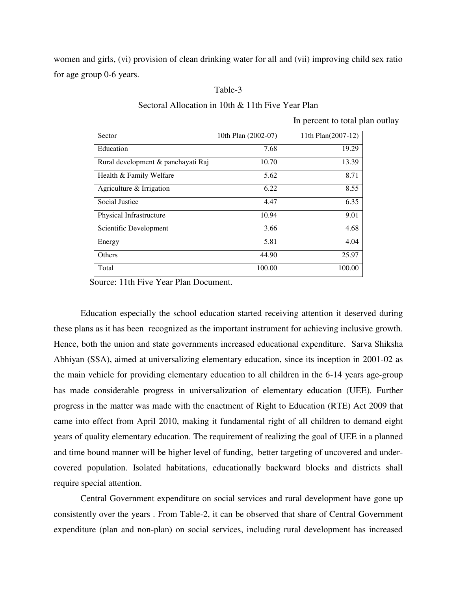women and girls, (vi) provision of clean drinking water for all and (vii) improving child sex ratio for age group 0-6 years.

#### Table-3

Sectoral Allocation in 10th & 11th Five Year Plan

In percent to total plan outlay

| Sector                             | 10th Plan (2002-07) | 11th Plan(2007-12) |
|------------------------------------|---------------------|--------------------|
| Education                          | 7.68                | 19.29              |
| Rural development & panchayati Raj | 10.70               | 13.39              |
| Health & Family Welfare            | 5.62                | 8.71               |
| Agriculture & Irrigation           | 6.22                | 8.55               |
| Social Justice                     | 4.47                | 6.35               |
| Physical Infrastructure            | 10.94               | 9.01               |
| Scientific Development             | 3.66                | 4.68               |
| Energy                             | 5.81                | 4.04               |
| Others                             | 44.90               | 25.97              |
| Total                              | 100.00              | 100.00             |

Source: 11th Five Year Plan Document.

 Education especially the school education started receiving attention it deserved during these plans as it has been recognized as the important instrument for achieving inclusive growth. Hence, both the union and state governments increased educational expenditure. Sarva Shiksha Abhiyan (SSA), aimed at universalizing elementary education, since its inception in 2001-02 as the main vehicle for providing elementary education to all children in the 6-14 years age-group has made considerable progress in universalization of elementary education (UEE). Further progress in the matter was made with the enactment of Right to Education (RTE) Act 2009 that came into effect from April 2010, making it fundamental right of all children to demand eight years of quality elementary education. The requirement of realizing the goal of UEE in a planned and time bound manner will be higher level of funding, better targeting of uncovered and undercovered population. Isolated habitations, educationally backward blocks and districts shall require special attention.

 Central Government expenditure on social services and rural development have gone up consistently over the years . From Table-2, it can be observed that share of Central Government expenditure (plan and non-plan) on social services, including rural development has increased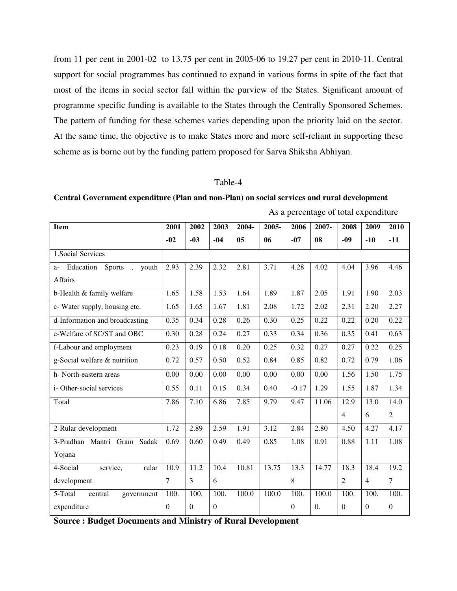from 11 per cent in 2001-02 to 13.75 per cent in 2005-06 to 19.27 per cent in 2010-11. Central support for social programmes has continued to expand in various forms in spite of the fact that most of the items in social sector fall within the purview of the States. Significant amount of programme specific funding is available to the States through the Centrally Sponsored Schemes. The pattern of funding for these schemes varies depending upon the priority laid on the sector. At the same time, the objective is to make States more and more self-reliant in supporting these scheme as is borne out by the funding pattern proposed for Sarva Shiksha Abhiyan.

#### Table-4

**Central Government expenditure (Plan and non-Plan) on social services and rural development** 

| <b>Item</b>                                               | 2001     | 2002     | 2003         | 2004-          | 2005- | 2006     | 2007-            | 2008           | 2009           | 2010           |
|-----------------------------------------------------------|----------|----------|--------------|----------------|-------|----------|------------------|----------------|----------------|----------------|
|                                                           | $-02$    | $-03$    | $-04$        | 0 <sub>5</sub> | 06    | $-07$    | 08               | $-09$          | $-10$          | $-11$          |
| 1. Social Services                                        |          |          |              |                |       |          |                  |                |                |                |
| Education Sports<br>youth<br>$a-$<br>$\ddot{\phantom{1}}$ | 2.93     | 2.39     | 2.32         | 2.81           | 3.71  | 4.28     | 4.02             | 4.04           | 3.96           | 4.46           |
| <b>Affairs</b>                                            |          |          |              |                |       |          |                  |                |                |                |
| b-Health & family welfare                                 | 1.65     | 1.58     | 1.53         | 1.64           | 1.89  | 1.87     | 2.05             | 1.91           | 1.90           | 2.03           |
| c- Water supply, housing etc.                             | 1.65     | 1.65     | 1.67         | 1.81           | 2.08  | 1.72     | 2.02             | 2.31           | 2.20           | 2.27           |
| d-Information and broadcasting                            | 0.35     | 0.34     | 0.28         | 0.26           | 0.30  | 0.25     | 0.22             | 0.22           | 0.20           | 0.22           |
| e-Welfare of SC/ST and OBC                                | 0.30     | 0.28     | 0.24         | 0.27           | 0.33  | 0.34     | 0.36             | 0.35           | 0.41           | 0.63           |
| f-Labour and employment                                   | 0.23     | 0.19     | 0.18         | 0.20           | 0.25  | 0.32     | 0.27             | 0.27           | 0.22           | 0.25           |
| g-Social welfare & nutrition                              | 0.72     | 0.57     | 0.50         | 0.52           | 0.84  | 0.85     | 0.82             | 0.72           | 0.79           | 1.06           |
| h-North-eastern areas                                     | 0.00     | 0.00     | 0.00         | 0.00           | 0.00  | 0.00     | 0.00             | 1.56           | 1.50           | 1.75           |
| i-Other-social services                                   | 0.55     | 0.11     | 0.15         | 0.34           | 0.40  | $-0.17$  | 1.29             | 1.55           | 1.87           | 1.34           |
| Total                                                     | 7.86     | 7.10     | 6.86         | 7.85           | 9.79  | 9.47     | 11.06            | 12.9           | 13.0           | 14.0           |
|                                                           |          |          |              |                |       |          |                  | $\overline{4}$ | 6              | $\overline{2}$ |
| 2-Rular development                                       | 1.72     | 2.89     | 2.59         | 1.91           | 3.12  | 2.84     | 2.80             | 4.50           | 4.27           | 4.17           |
| 3-Pradhan Mantri Gram<br>Sadak                            | 0.69     | 0.60     | 0.49         | 0.49           | 0.85  | 1.08     | 0.91             | 0.88           | 1.11           | 1.08           |
| Yojana                                                    |          |          |              |                |       |          |                  |                |                |                |
| 4-Social<br>rular<br>service,                             | 10.9     | 11.2     | 10.4         | 10.81          | 13.75 | 13.3     | 14.77            | 18.3           | 18.4           | 19.2           |
| development                                               | 7        | 3        | 6            |                |       | 8        |                  | $\overline{2}$ | $\overline{4}$ | 7              |
| 5-Total<br>central<br>government                          | 100.     | 100.     | 100.         | 100.0          | 100.0 | 100.     | 100.0            | 100.           | 100.           | 100.           |
| expenditure                                               | $\Omega$ | $\Omega$ | $\mathbf{0}$ |                |       | $\Omega$ | $\overline{0}$ . | $\Omega$       | $\Omega$       | $\mathbf{0}$   |

As a percentage of total expenditure

**Source : Budget Documents and Ministry of Rural Development**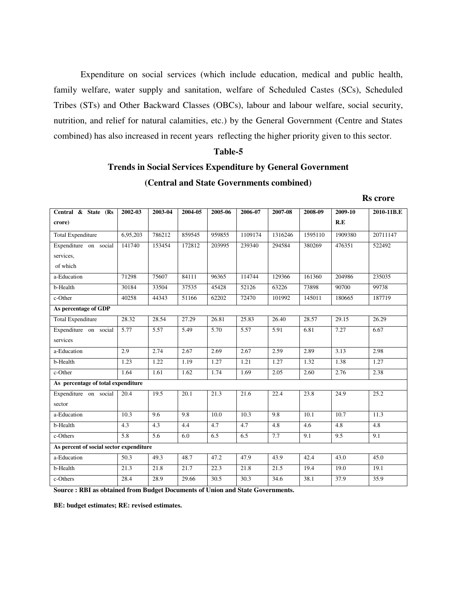Expenditure on social services (which include education, medical and public health, family welfare, water supply and sanitation, welfare of Scheduled Castes (SCs), Scheduled Tribes (STs) and Other Backward Classes (OBCs), labour and labour welfare, social security, nutrition, and relief for natural calamities, etc.) by the General Government (Centre and States combined) has also increased in recent years reflecting the higher priority given to this sector.

#### **Table-5**

### **Trends in Social Services Expenditure by General Government (Central and State Governments combined)**

| <b>Rs</b> crore |
|-----------------|
|                 |

| Central & State (Rs                     | 2002-03  | 2003-04          | 2004-05 | 2005-06 | 2006-07 | 2007-08 | 2008-09 | 2009-10 | 2010-11B.E |
|-----------------------------------------|----------|------------------|---------|---------|---------|---------|---------|---------|------------|
| crore)                                  |          |                  |         |         |         |         |         | R.E     |            |
| <b>Total Expenditure</b>                | 6,95,203 | 786212           | 859545  | 959855  | 1109174 | 1316246 | 1595110 | 1909380 | 20711147   |
| Expenditure on social                   | 141740   | 153454           | 172812  | 203995  | 239340  | 294584  | 380269  | 476351  | 522492     |
| services.                               |          |                  |         |         |         |         |         |         |            |
| of which                                |          |                  |         |         |         |         |         |         |            |
| a-Education                             | 71298    | 75607            | 84111   | 96365   | 114744  | 129366  | 161360  | 204986  | 235035     |
| b-Health                                | 30184    | 33504            | 37535   | 45428   | 52126   | 63226   | 73898   | 90700   | 99738      |
| c-Other                                 | 40258    | 44343            | 51166   | 62202   | 72470   | 101992  | 145011  | 180665  | 187719     |
| As percentage of GDP                    |          |                  |         |         |         |         |         |         |            |
| <b>Total Expenditure</b>                | 28.32    | 28.54            | 27.29   | 26.81   | 25.83   | 26.40   | 28.57   | 29.15   | 26.29      |
| Expenditure on social                   | 5.77     | 5.57             | 5.49    | 5.70    | 5.57    | 5.91    | 6.81    | 7.27    | 6.67       |
| services                                |          |                  |         |         |         |         |         |         |            |
| a-Education                             | 2.9      | 2.74             | 2.67    | 2.69    | 2.67    | 2.59    | 2.89    | 3.13    | 2.98       |
| b-Health                                | 1.23     | 1.22             | 1.19    | 1.27    | 1.21    | 1.27    | 1.32    | 1.38    | 1.27       |
| c-Other                                 | 1.64     | 1.61             | 1.62    | 1.74    | 1.69    | 2.05    | 2.60    | 2.76    | 2.38       |
| As percentage of total expenditure      |          |                  |         |         |         |         |         |         |            |
| Expenditure on social                   | 20.4     | 19.5             | 20.1    | 21.3    | 21.6    | 22.4    | 23.8    | 24.9    | 25.2       |
| sector                                  |          |                  |         |         |         |         |         |         |            |
| a-Education                             | 10.3     | 9.6              | 9.8     | 10.0    | 10.3    | 9.8     | 10.1    | 10.7    | 11.3       |
| b-Health                                | 4.3      | 4.3              | 4.4     | 4.7     | 4.7     | 4.8     | 4.6     | 4.8     | 4.8        |
| c-Others                                | 5.8      | $\overline{5.6}$ | 6.0     | 6.5     | 6.5     | 7.7     | 9.1     | 9.5     | 9.1        |
| As percent of social sector expenditure |          |                  |         |         |         |         |         |         |            |
| a-Education                             | 50.3     | 49.3             | 48.7    | 47.2    | 47.9    | 43.9    | 42.4    | 43.0    | 45.0       |
| b-Health                                | 21.3     | 21.8             | 21.7    | 22.3    | 21.8    | 21.5    | 19.4    | 19.0    | 19.1       |
| c-Others                                | 28.4     | 28.9             | 29.66   | 30.5    | 30.3    | 34.6    | 38.1    | 37.9    | 35.9       |

**Source : RBI as obtained from Budget Documents of Union and State Governments.** 

**BE: budget estimates; RE: revised estimates.**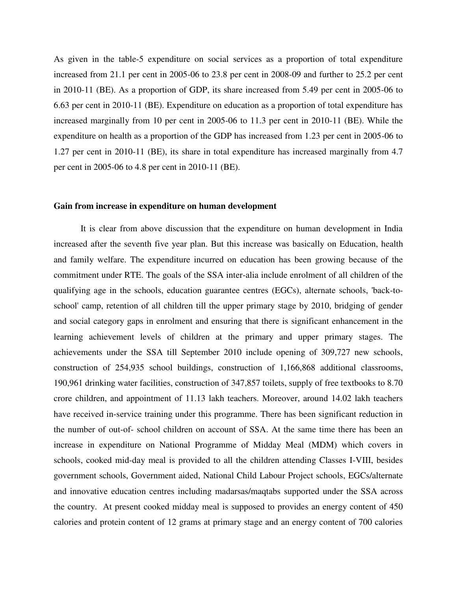As given in the table-5 expenditure on social services as a proportion of total expenditure increased from 21.1 per cent in 2005-06 to 23.8 per cent in 2008-09 and further to 25.2 per cent in 2010-11 (BE). As a proportion of GDP, its share increased from 5.49 per cent in 2005-06 to 6.63 per cent in 2010-11 (BE). Expenditure on education as a proportion of total expenditure has increased marginally from 10 per cent in 2005-06 to 11.3 per cent in 2010-11 (BE). While the expenditure on health as a proportion of the GDP has increased from 1.23 per cent in 2005-06 to 1.27 per cent in 2010-11 (BE), its share in total expenditure has increased marginally from 4.7 per cent in 2005-06 to 4.8 per cent in 2010-11 (BE).

#### **Gain from increase in expenditure on human development**

 It is clear from above discussion that the expenditure on human development in India increased after the seventh five year plan. But this increase was basically on Education, health and family welfare. The expenditure incurred on education has been growing because of the commitment under RTE. The goals of the SSA inter-alia include enrolment of all children of the qualifying age in the schools, education guarantee centres (EGCs), alternate schools, 'back-toschool' camp, retention of all children till the upper primary stage by 2010, bridging of gender and social category gaps in enrolment and ensuring that there is significant enhancement in the learning achievement levels of children at the primary and upper primary stages. The achievements under the SSA till September 2010 include opening of 309,727 new schools, construction of 254,935 school buildings, construction of 1,166,868 additional classrooms, 190,961 drinking water facilities, construction of 347,857 toilets, supply of free textbooks to 8.70 crore children, and appointment of 11.13 lakh teachers. Moreover, around 14.02 lakh teachers have received in-service training under this programme. There has been significant reduction in the number of out-of- school children on account of SSA. At the same time there has been an increase in expenditure on National Programme of Midday Meal (MDM) which covers in schools, cooked mid-day meal is provided to all the children attending Classes I-VIII, besides government schools, Government aided, National Child Labour Project schools, EGCs/alternate and innovative education centres including madarsas/maqtabs supported under the SSA across the country. At present cooked midday meal is supposed to provides an energy content of 450 calories and protein content of 12 grams at primary stage and an energy content of 700 calories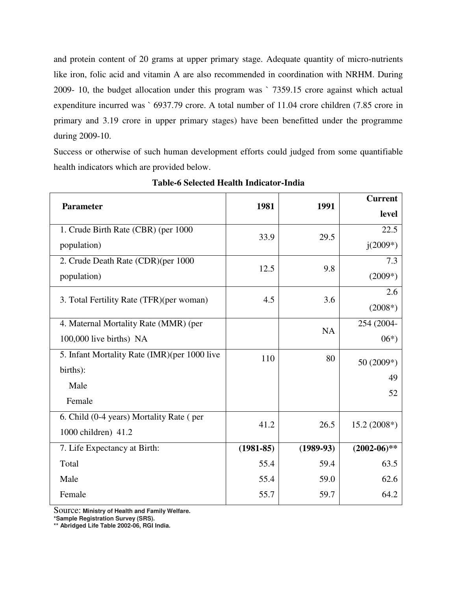and protein content of 20 grams at upper primary stage. Adequate quantity of micro-nutrients like iron, folic acid and vitamin A are also recommended in coordination with NRHM. During 2009- 10, the budget allocation under this program was ` 7359.15 crore against which actual expenditure incurred was ` 6937.79 crore. A total number of 11.04 crore children (7.85 crore in primary and 3.19 crore in upper primary stages) have been benefitted under the programme during 2009-10.

Success or otherwise of such human development efforts could judged from some quantifiable health indicators which are provided below.

| <b>Parameter</b>                             | 1981        | 1991        | <b>Current</b> |  |
|----------------------------------------------|-------------|-------------|----------------|--|
|                                              |             |             | level          |  |
| 1. Crude Birth Rate (CBR) (per 1000          | 33.9        | 29.5        | 22.5           |  |
| population)                                  |             |             | $j(2009*)$     |  |
| 2. Crude Death Rate (CDR)(per 1000           | 12.5        | 9.8         | 7.3            |  |
| population)                                  |             |             | $(2009*)$      |  |
| 3. Total Fertility Rate (TFR)(per woman)     | 4.5         | 3.6         | 2.6            |  |
|                                              |             |             | $(2008*)$      |  |
| 4. Maternal Mortality Rate (MMR) (per        |             | <b>NA</b>   | 254 (2004-     |  |
| 100,000 live births) NA                      |             |             | $06*)$         |  |
| 5. Infant Mortality Rate (IMR)(per 1000 live | 110         | 80          | 50 (2009*)     |  |
| births):                                     |             |             | 49             |  |
| Male                                         |             |             | 52             |  |
| Female                                       |             |             |                |  |
| 6. Child (0-4 years) Mortality Rate (per     | 41.2        | 26.5        | $15.2(2008*)$  |  |
| 1000 children) 41.2                          |             |             |                |  |
| 7. Life Expectancy at Birth:                 | $(1981-85)$ | $(1989-93)$ | $(2002-06)$ ** |  |
| Total                                        | 55.4        | 59.4        | 63.5           |  |
| Male                                         | 55.4        | 59.0        | 62.6           |  |
| Female                                       | 55.7        | 59.7        | 64.2           |  |

**Table-6 Selected Health Indicator-India** 

Source: **Ministry of Health and Family Welfare.** 

**\*Sample Registration Survey (SRS).** 

**\*\* Abridged Life Table 2002-06, RGI India.**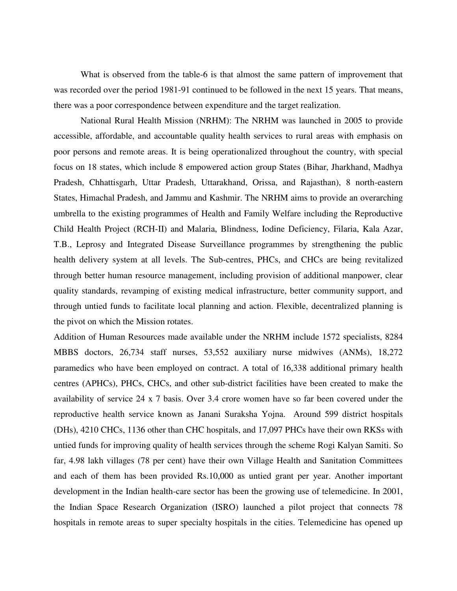What is observed from the table-6 is that almost the same pattern of improvement that was recorded over the period 1981-91 continued to be followed in the next 15 years. That means, there was a poor correspondence between expenditure and the target realization.

 National Rural Health Mission (NRHM): The NRHM was launched in 2005 to provide accessible, affordable, and accountable quality health services to rural areas with emphasis on poor persons and remote areas. It is being operationalized throughout the country, with special focus on 18 states, which include 8 empowered action group States (Bihar, Jharkhand, Madhya Pradesh, Chhattisgarh, Uttar Pradesh, Uttarakhand, Orissa, and Rajasthan), 8 north-eastern States, Himachal Pradesh, and Jammu and Kashmir. The NRHM aims to provide an overarching umbrella to the existing programmes of Health and Family Welfare including the Reproductive Child Health Project (RCH-II) and Malaria, Blindness, Iodine Deficiency, Filaria, Kala Azar, T.B., Leprosy and Integrated Disease Surveillance programmes by strengthening the public health delivery system at all levels. The Sub-centres, PHCs, and CHCs are being revitalized through better human resource management, including provision of additional manpower, clear quality standards, revamping of existing medical infrastructure, better community support, and through untied funds to facilitate local planning and action. Flexible, decentralized planning is the pivot on which the Mission rotates.

Addition of Human Resources made available under the NRHM include 1572 specialists, 8284 MBBS doctors, 26,734 staff nurses, 53,552 auxiliary nurse midwives (ANMs), 18,272 paramedics who have been employed on contract. A total of 16,338 additional primary health centres (APHCs), PHCs, CHCs, and other sub-district facilities have been created to make the availability of service 24 x 7 basis. Over 3.4 crore women have so far been covered under the reproductive health service known as Janani Suraksha Yojna. Around 599 district hospitals (DHs), 4210 CHCs, 1136 other than CHC hospitals, and 17,097 PHCs have their own RKSs with untied funds for improving quality of health services through the scheme Rogi Kalyan Samiti. So far, 4.98 lakh villages (78 per cent) have their own Village Health and Sanitation Committees and each of them has been provided Rs.10,000 as untied grant per year. Another important development in the Indian health-care sector has been the growing use of telemedicine. In 2001, the Indian Space Research Organization (ISRO) launched a pilot project that connects 78 hospitals in remote areas to super specialty hospitals in the cities. Telemedicine has opened up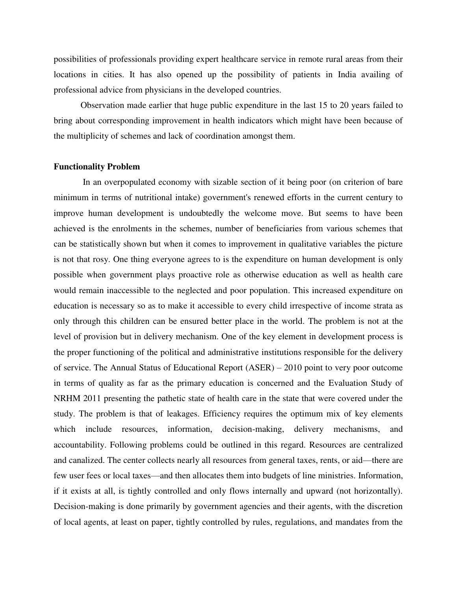possibilities of professionals providing expert healthcare service in remote rural areas from their locations in cities. It has also opened up the possibility of patients in India availing of professional advice from physicians in the developed countries.

 Observation made earlier that huge public expenditure in the last 15 to 20 years failed to bring about corresponding improvement in health indicators which might have been because of the multiplicity of schemes and lack of coordination amongst them.

#### **Functionality Problem**

In an overpopulated economy with sizable section of it being poor (on criterion of bare minimum in terms of nutritional intake) government's renewed efforts in the current century to improve human development is undoubtedly the welcome move. But seems to have been achieved is the enrolments in the schemes, number of beneficiaries from various schemes that can be statistically shown but when it comes to improvement in qualitative variables the picture is not that rosy. One thing everyone agrees to is the expenditure on human development is only possible when government plays proactive role as otherwise education as well as health care would remain inaccessible to the neglected and poor population. This increased expenditure on education is necessary so as to make it accessible to every child irrespective of income strata as only through this children can be ensured better place in the world. The problem is not at the level of provision but in delivery mechanism. One of the key element in development process is the proper functioning of the political and administrative institutions responsible for the delivery of service. The Annual Status of Educational Report (ASER) – 2010 point to very poor outcome in terms of quality as far as the primary education is concerned and the Evaluation Study of NRHM 2011 presenting the pathetic state of health care in the state that were covered under the study. The problem is that of leakages. Efficiency requires the optimum mix of key elements which include resources, information, decision-making, delivery mechanisms, and accountability. Following problems could be outlined in this regard. Resources are centralized and canalized. The center collects nearly all resources from general taxes, rents, or aid—there are few user fees or local taxes—and then allocates them into budgets of line ministries. Information, if it exists at all, is tightly controlled and only flows internally and upward (not horizontally). Decision-making is done primarily by government agencies and their agents, with the discretion of local agents, at least on paper, tightly controlled by rules, regulations, and mandates from the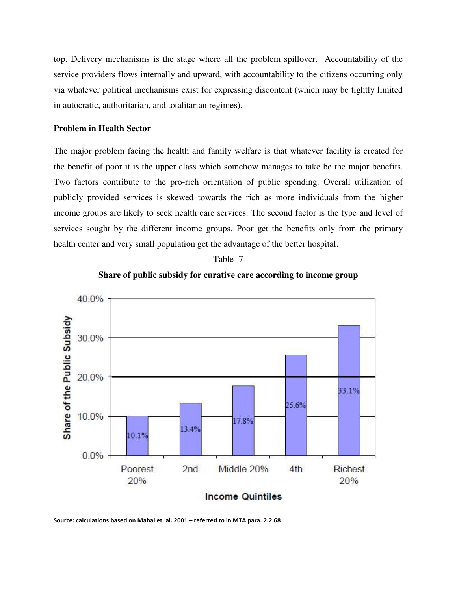top. Delivery mechanisms is the stage where all the problem spillover. Accountability of the service providers flows internally and upward, with accountability to the citizens occurring only via whatever political mechanisms exist for expressing discontent (which may be tightly limited in autocratic, authoritarian, and totalitarian regimes).

#### **Problem in Health Sector**

The major problem facing the health and family welfare is that whatever facility is created for the benefit of poor it is the upper class which somehow manages to take be the major benefits. Two factors contribute to the pro-rich orientation of public spending. Overall utilization of publicly provided services is skewed towards the rich as more individuals from the higher income groups are likely to seek health care services. The second factor is the type and level of services sought by the different income groups. Poor get the benefits only from the primary health center and very small population get the advantage of the better hospital.







**Source: calculations based on Mahal et. al. 2001 – referred to in MTA para. 2.2.68**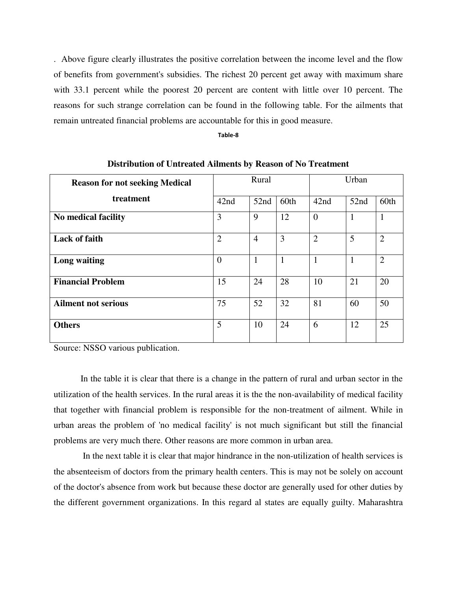. Above figure clearly illustrates the positive correlation between the income level and the flow of benefits from government's subsidies. The richest 20 percent get away with maximum share with 33.1 percent while the poorest 20 percent are content with little over 10 percent. The reasons for such strange correlation can be found in the following table. For the ailments that remain untreated financial problems are accountable for this in good measure.

**Table-8** 

| <b>Reason for not seeking Medical</b> |                | Rural          |              | Urban          |              |                |  |
|---------------------------------------|----------------|----------------|--------------|----------------|--------------|----------------|--|
| treatment                             | 42nd           | 52nd           | 60th         | 42nd           | 52nd         | 60th           |  |
| No medical facility                   | 3              | 9              | 12           | $\overline{0}$ | $\mathbf{1}$ | $\mathbf{1}$   |  |
| <b>Lack of faith</b>                  | $\overline{2}$ | $\overline{4}$ | 3            | $\overline{2}$ | 5            | $\overline{2}$ |  |
| Long waiting                          | $\theta$       |                | $\mathbf{1}$ | 1              | 1            | $\overline{2}$ |  |
| <b>Financial Problem</b>              | 15             | 24             | 28           | 10             | 21           | 20             |  |
| <b>Ailment not serious</b>            | 75             | 52             | 32           | 81             | 60           | 50             |  |
| <b>Others</b>                         | 5              | 10             | 24           | 6              | 12           | 25             |  |

**Distribution of Untreated Ailments by Reason of No Treatment** 

Source: NSSO various publication.

 In the table it is clear that there is a change in the pattern of rural and urban sector in the utilization of the health services. In the rural areas it is the the non-availability of medical facility that together with financial problem is responsible for the non-treatment of ailment. While in urban areas the problem of 'no medical facility' is not much significant but still the financial problems are very much there. Other reasons are more common in urban area.

 In the next table it is clear that major hindrance in the non-utilization of health services is the absenteeism of doctors from the primary health centers. This is may not be solely on account of the doctor's absence from work but because these doctor are generally used for other duties by the different government organizations. In this regard al states are equally guilty. Maharashtra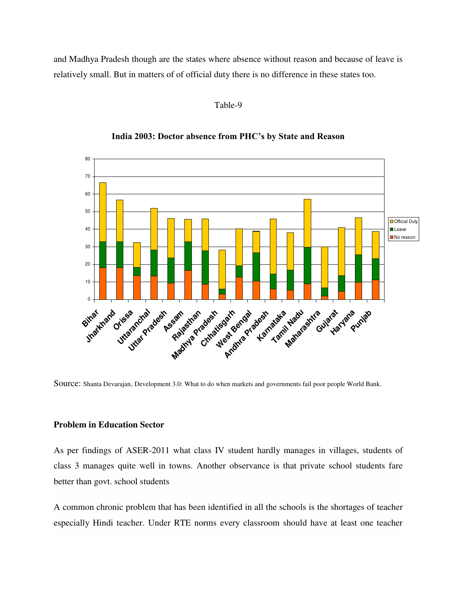and Madhya Pradesh though are the states where absence without reason and because of leave is relatively small. But in matters of of official duty there is no difference in these states too.

#### Table-9



#### **India 2003: Doctor absence from PHC's by State and Reason**

Source: Shanta Devarajan, Development 3.0: What to do when markets and governments fail poor people World Bank.

#### **Problem in Education Sector**

As per findings of ASER-2011 what class IV student hardly manages in villages, students of class 3 manages quite well in towns. Another observance is that private school students fare better than govt. school students

A common chronic problem that has been identified in all the schools is the shortages of teacher especially Hindi teacher. Under RTE norms every classroom should have at least one teacher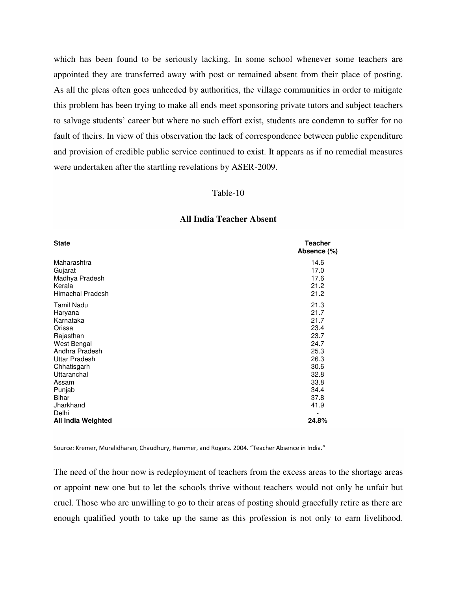which has been found to be seriously lacking. In some school whenever some teachers are appointed they are transferred away with post or remained absent from their place of posting. As all the pleas often goes unheeded by authorities, the village communities in order to mitigate this problem has been trying to make all ends meet sponsoring private tutors and subject teachers to salvage students' career but where no such effort exist, students are condemn to suffer for no fault of theirs. In view of this observation the lack of correspondence between public expenditure and provision of credible public service continued to exist. It appears as if no remedial measures were undertaken after the startling revelations by ASER-2009.

#### Table-10

| <b>State</b>                | <b>Teacher</b><br>Absence (%) |
|-----------------------------|-------------------------------|
| Maharashtra                 | 14.6                          |
| Gujarat                     | 17.0                          |
| Madhya Pradesh              | 17.6                          |
| Kerala                      | 21.2                          |
| Himachal Pradesh            | 21.2                          |
| <b>Tamil Nadu</b>           | 21.3                          |
| Haryana                     | 21.7                          |
| Karnataka                   | 21.7                          |
| Orissa                      | 23.4                          |
| Rajasthan                   | 23.7                          |
| West Bengal                 | 24.7                          |
| Andhra Pradesh              | 25.3                          |
| <b>Uttar Pradesh</b>        | 26.3                          |
| Chhatisgarh                 | 30.6                          |
| Uttaranchal                 | 32.8                          |
| Assam                       | 33.8                          |
| Punjab                      | 34.4                          |
| Bihar                       | 37.8                          |
| Jharkhand                   | 41.9                          |
| Delhi<br>All India Weighted | 24.8%                         |

#### **All India Teacher Absent**

Source: Kremer, Muralidharan, Chaudhury, Hammer, and Rogers. 2004. "Teacher Absence in India."

The need of the hour now is redeployment of teachers from the excess areas to the shortage areas or appoint new one but to let the schools thrive without teachers would not only be unfair but cruel. Those who are unwilling to go to their areas of posting should gracefully retire as there are enough qualified youth to take up the same as this profession is not only to earn livelihood.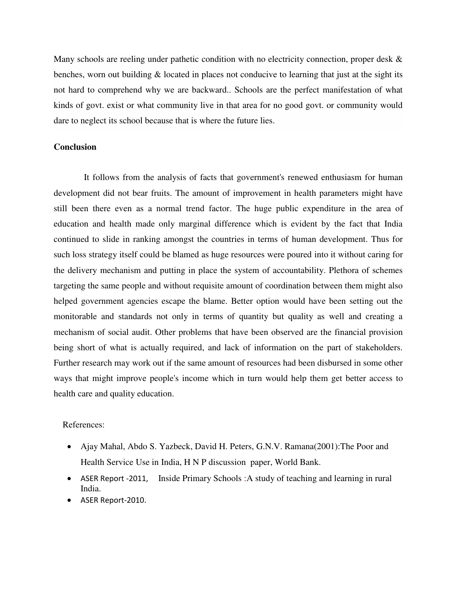Many schools are reeling under pathetic condition with no electricity connection, proper desk  $\&$ benches, worn out building  $\&$  located in places not conducive to learning that just at the sight its not hard to comprehend why we are backward.. Schools are the perfect manifestation of what kinds of govt. exist or what community live in that area for no good govt. or community would dare to neglect its school because that is where the future lies.

#### **Conclusion**

 It follows from the analysis of facts that government's renewed enthusiasm for human development did not bear fruits. The amount of improvement in health parameters might have still been there even as a normal trend factor. The huge public expenditure in the area of education and health made only marginal difference which is evident by the fact that India continued to slide in ranking amongst the countries in terms of human development. Thus for such loss strategy itself could be blamed as huge resources were poured into it without caring for the delivery mechanism and putting in place the system of accountability. Plethora of schemes targeting the same people and without requisite amount of coordination between them might also helped government agencies escape the blame. Better option would have been setting out the monitorable and standards not only in terms of quantity but quality as well and creating a mechanism of social audit. Other problems that have been observed are the financial provision being short of what is actually required, and lack of information on the part of stakeholders. Further research may work out if the same amount of resources had been disbursed in some other ways that might improve people's income which in turn would help them get better access to health care and quality education.

#### References:

- Ajay Mahal, Abdo S. Yazbeck, David H. Peters, G.N.V. Ramana(2001):The Poor and Health Service Use in India, H N P discussion paper, World Bank.
- ASER Report -2011, Inside Primary Schools :A study of teaching and learning in rural India.
- ASER Report-2010.